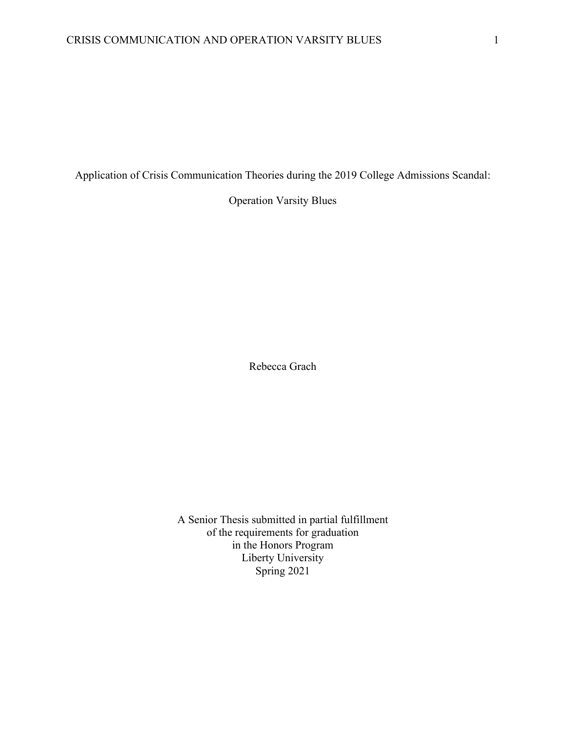Application of Crisis Communication Theories during the 2019 College Admissions Scandal:

Operation Varsity Blues

Rebecca Grach

A Senior Thesis submitted in partial fulfillment of the requirements for graduation in the Honors Program Liberty University Spring 2021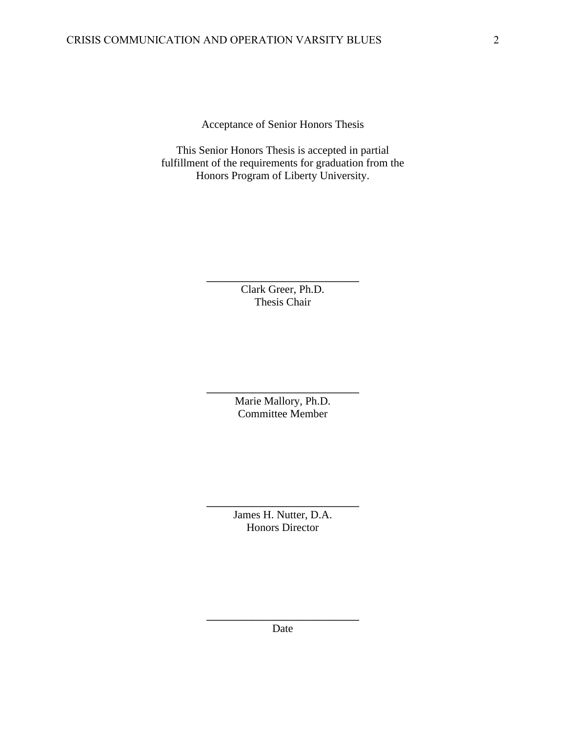Acceptance of Senior Honors Thesis

This Senior Honors Thesis is accepted in partial fulfillment of the requirements for graduation from the Honors Program of Liberty University.

> Clark Greer, Ph.D. Thesis Chair

**\_\_\_\_\_\_\_\_\_\_\_\_\_\_\_\_\_\_\_\_\_\_\_\_\_\_\_\_\_\_**

Marie Mallory, Ph.D. Committee Member

**\_\_\_\_\_\_\_\_\_\_\_\_\_\_\_\_\_\_\_\_\_\_\_\_\_\_\_\_\_\_**

James H. Nutter, D.A. Honors Director

**\_\_\_\_\_\_\_\_\_\_\_\_\_\_\_\_\_\_\_\_\_\_\_\_\_\_\_\_\_\_**

**\_\_\_\_\_\_\_\_\_\_\_\_\_\_\_\_\_\_\_\_\_\_\_\_\_\_\_\_\_\_** Date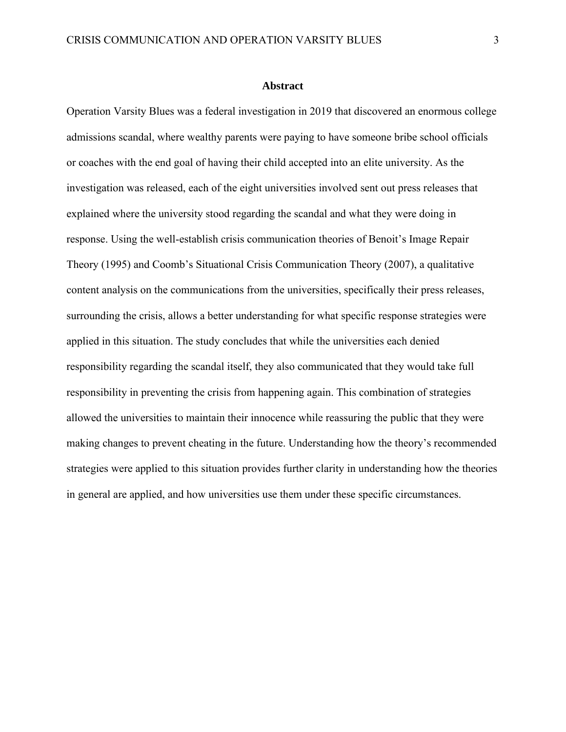#### **Abstract**

Operation Varsity Blues was a federal investigation in 2019 that discovered an enormous college admissions scandal, where wealthy parents were paying to have someone bribe school officials or coaches with the end goal of having their child accepted into an elite university. As the investigation was released, each of the eight universities involved sent out press releases that explained where the university stood regarding the scandal and what they were doing in response. Using the well-establish crisis communication theories of Benoit's Image Repair Theory (1995) and Coomb's Situational Crisis Communication Theory (2007), a qualitative content analysis on the communications from the universities, specifically their press releases, surrounding the crisis, allows a better understanding for what specific response strategies were applied in this situation. The study concludes that while the universities each denied responsibility regarding the scandal itself, they also communicated that they would take full responsibility in preventing the crisis from happening again. This combination of strategies allowed the universities to maintain their innocence while reassuring the public that they were making changes to prevent cheating in the future. Understanding how the theory's recommended strategies were applied to this situation provides further clarity in understanding how the theories in general are applied, and how universities use them under these specific circumstances.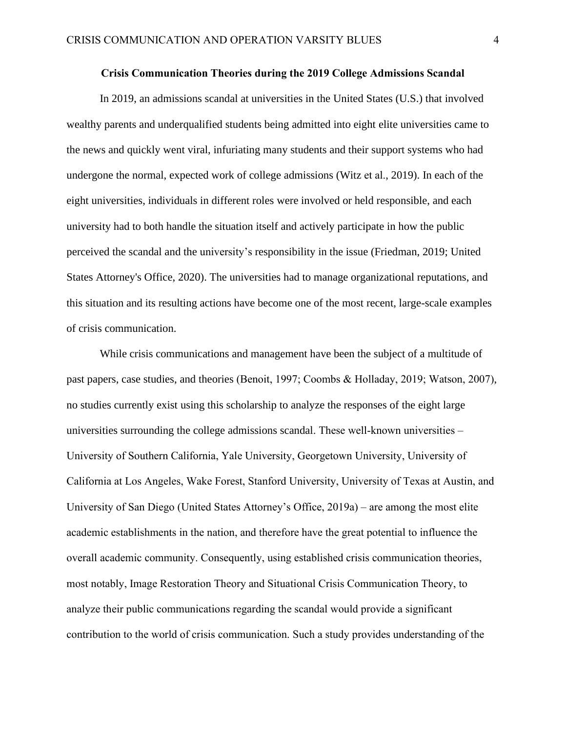#### **Crisis Communication Theories during the 2019 College Admissions Scandal**

In 2019, an admissions scandal at universities in the United States (U.S.) that involved wealthy parents and underqualified students being admitted into eight elite universities came to the news and quickly went viral, infuriating many students and their support systems who had undergone the normal, expected work of college admissions (Witz et al., 2019). In each of the eight universities, individuals in different roles were involved or held responsible, and each university had to both handle the situation itself and actively participate in how the public perceived the scandal and the university's responsibility in the issue (Friedman, 2019; United States Attorney's Office, 2020). The universities had to manage organizational reputations, and this situation and its resulting actions have become one of the most recent, large-scale examples of crisis communication.

While crisis communications and management have been the subject of a multitude of past papers, case studies, and theories (Benoit, 1997; Coombs & Holladay, 2019; Watson, 2007), no studies currently exist using this scholarship to analyze the responses of the eight large universities surrounding the college admissions scandal. These well-known universities – University of Southern California, Yale University, Georgetown University, University of California at Los Angeles, Wake Forest, Stanford University, University of Texas at Austin, and University of San Diego (United States Attorney's Office, 2019a) – are among the most elite academic establishments in the nation, and therefore have the great potential to influence the overall academic community. Consequently, using established crisis communication theories, most notably, Image Restoration Theory and Situational Crisis Communication Theory, to analyze their public communications regarding the scandal would provide a significant contribution to the world of crisis communication. Such a study provides understanding of the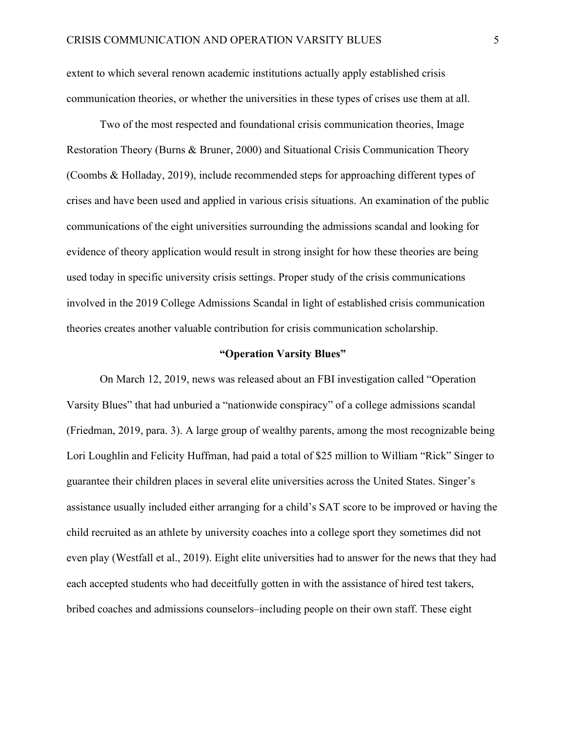extent to which several renown academic institutions actually apply established crisis communication theories, or whether the universities in these types of crises use them at all.

Two of the most respected and foundational crisis communication theories, Image Restoration Theory (Burns & Bruner, 2000) and Situational Crisis Communication Theory (Coombs & Holladay, 2019), include recommended steps for approaching different types of crises and have been used and applied in various crisis situations. An examination of the public communications of the eight universities surrounding the admissions scandal and looking for evidence of theory application would result in strong insight for how these theories are being used today in specific university crisis settings. Proper study of the crisis communications involved in the 2019 College Admissions Scandal in light of established crisis communication theories creates another valuable contribution for crisis communication scholarship.

#### **"Operation Varsity Blues"**

On March 12, 2019, news was released about an FBI investigation called "Operation Varsity Blues" that had unburied a "nationwide conspiracy" of a college admissions scandal (Friedman, 2019, para. 3). A large group of wealthy parents, among the most recognizable being Lori Loughlin and Felicity Huffman, had paid a total of \$25 million to William "Rick" Singer to guarantee their children places in several elite universities across the United States. Singer's assistance usually included either arranging for a child's SAT score to be improved or having the child recruited as an athlete by university coaches into a college sport they sometimes did not even play (Westfall et al., 2019). Eight elite universities had to answer for the news that they had each accepted students who had deceitfully gotten in with the assistance of hired test takers, bribed coaches and admissions counselors–including people on their own staff. These eight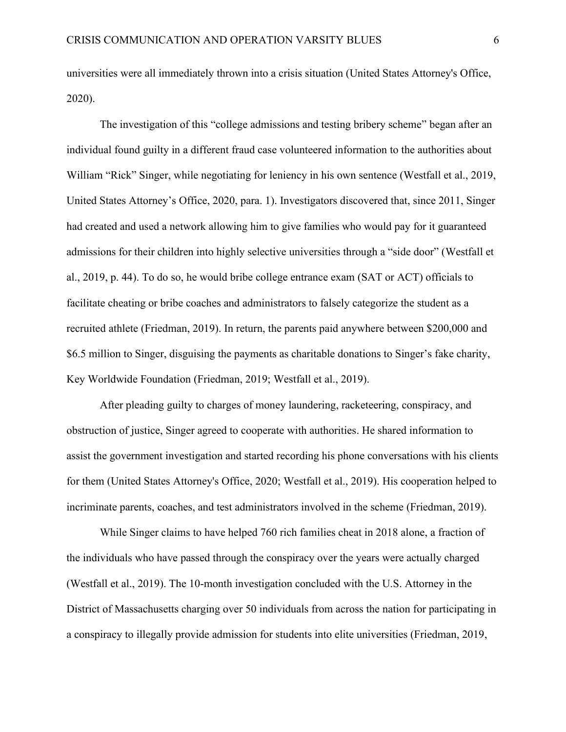universities were all immediately thrown into a crisis situation (United States Attorney's Office, 2020).

The investigation of this "college admissions and testing bribery scheme" began after an individual found guilty in a different fraud case volunteered information to the authorities about William "Rick" Singer, while negotiating for leniency in his own sentence (Westfall et al., 2019, United States Attorney's Office, 2020, para. 1). Investigators discovered that, since 2011, Singer had created and used a network allowing him to give families who would pay for it guaranteed admissions for their children into highly selective universities through a "side door" (Westfall et al., 2019, p. 44). To do so, he would bribe college entrance exam (SAT or ACT) officials to facilitate cheating or bribe coaches and administrators to falsely categorize the student as a recruited athlete (Friedman, 2019). In return, the parents paid anywhere between \$200,000 and \$6.5 million to Singer, disguising the payments as charitable donations to Singer's fake charity, Key Worldwide Foundation (Friedman, 2019; Westfall et al., 2019).

After pleading guilty to charges of money laundering, racketeering, conspiracy, and obstruction of justice, Singer agreed to cooperate with authorities. He shared information to assist the government investigation and started recording his phone conversations with his clients for them (United States Attorney's Office, 2020; Westfall et al., 2019). His cooperation helped to incriminate parents, coaches, and test administrators involved in the scheme (Friedman, 2019).

While Singer claims to have helped 760 rich families cheat in 2018 alone, a fraction of the individuals who have passed through the conspiracy over the years were actually charged (Westfall et al., 2019). The 10-month investigation concluded with the U.S. Attorney in the District of Massachusetts charging over 50 individuals from across the nation for participating in a conspiracy to illegally provide admission for students into elite universities (Friedman, 2019,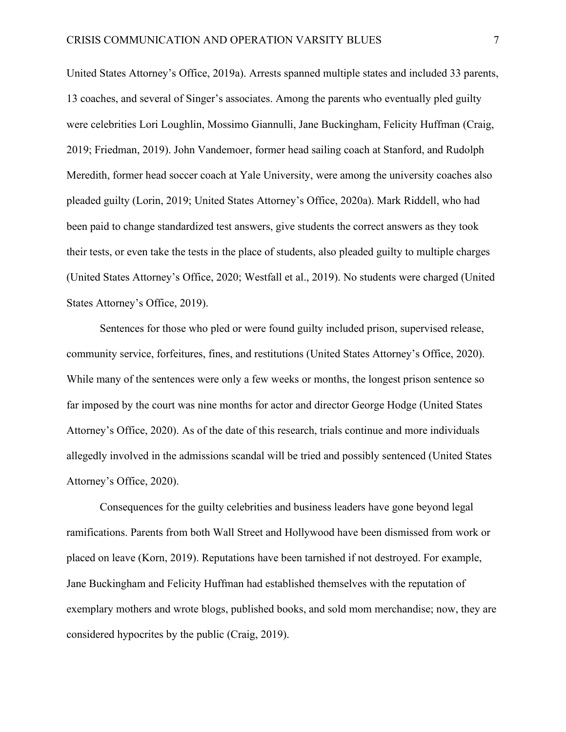United States Attorney's Office, 2019a). Arrests spanned multiple states and included 33 parents, 13 coaches, and several of Singer's associates. Among the parents who eventually pled guilty were celebrities Lori Loughlin, Mossimo Giannulli, Jane Buckingham, Felicity Huffman (Craig, 2019; Friedman, 2019). John Vandemoer, former head sailing coach at Stanford, and Rudolph Meredith, former head soccer coach at Yale University, were among the university coaches also pleaded guilty (Lorin, 2019; United States Attorney's Office, 2020a). Mark Riddell, who had been paid to change standardized test answers, give students the correct answers as they took their tests, or even take the tests in the place of students, also pleaded guilty to multiple charges (United States Attorney's Office, 2020; Westfall et al., 2019). No students were charged (United States Attorney's Office, 2019).

Sentences for those who pled or were found guilty included prison, supervised release, community service, forfeitures, fines, and restitutions (United States Attorney's Office, 2020). While many of the sentences were only a few weeks or months, the longest prison sentence so far imposed by the court was nine months for actor and director George Hodge (United States Attorney's Office, 2020). As of the date of this research, trials continue and more individuals allegedly involved in the admissions scandal will be tried and possibly sentenced (United States Attorney's Office, 2020).

Consequences for the guilty celebrities and business leaders have gone beyond legal ramifications. Parents from both Wall Street and Hollywood have been dismissed from work or placed on leave (Korn, 2019). Reputations have been tarnished if not destroyed. For example, Jane Buckingham and Felicity Huffman had established themselves with the reputation of exemplary mothers and wrote blogs, published books, and sold mom merchandise; now, they are considered hypocrites by the public (Craig, 2019).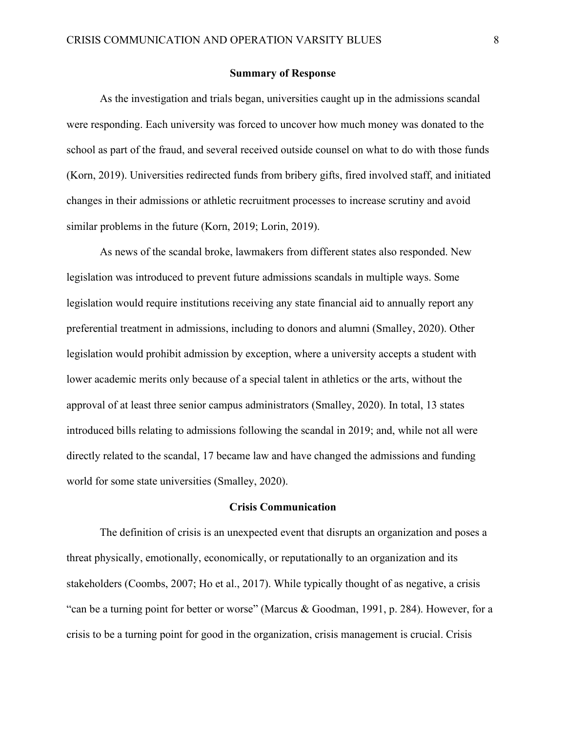## **Summary of Response**

As the investigation and trials began, universities caught up in the admissions scandal were responding. Each university was forced to uncover how much money was donated to the school as part of the fraud, and several received outside counsel on what to do with those funds (Korn, 2019). Universities redirected funds from bribery gifts, fired involved staff, and initiated changes in their admissions or athletic recruitment processes to increase scrutiny and avoid similar problems in the future (Korn, 2019; Lorin, 2019).

As news of the scandal broke, lawmakers from different states also responded. New legislation was introduced to prevent future admissions scandals in multiple ways. Some legislation would require institutions receiving any state financial aid to annually report any preferential treatment in admissions, including to donors and alumni (Smalley, 2020). Other legislation would prohibit admission by exception, where a university accepts a student with lower academic merits only because of a special talent in athletics or the arts, without the approval of at least three senior campus administrators (Smalley, 2020). In total, 13 states introduced bills relating to admissions following the scandal in 2019; and, while not all were directly related to the scandal, 17 became law and have changed the admissions and funding world for some state universities (Smalley, 2020).

# **Crisis Communication**

The definition of crisis is an unexpected event that disrupts an organization and poses a threat physically, emotionally, economically, or reputationally to an organization and its stakeholders (Coombs, 2007; Ho et al., 2017). While typically thought of as negative, a crisis "can be a turning point for better or worse" (Marcus & Goodman, 1991, p. 284). However, for a crisis to be a turning point for good in the organization, crisis management is crucial. Crisis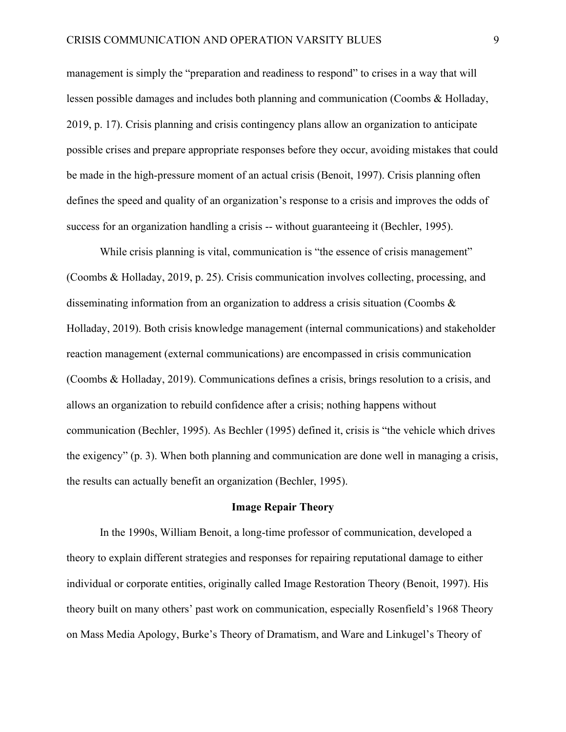management is simply the "preparation and readiness to respond" to crises in a way that will lessen possible damages and includes both planning and communication (Coombs & Holladay, 2019, p. 17). Crisis planning and crisis contingency plans allow an organization to anticipate possible crises and prepare appropriate responses before they occur, avoiding mistakes that could be made in the high-pressure moment of an actual crisis (Benoit, 1997). Crisis planning often defines the speed and quality of an organization's response to a crisis and improves the odds of success for an organization handling a crisis -- without guaranteeing it (Bechler, 1995).

While crisis planning is vital, communication is "the essence of crisis management" (Coombs & Holladay, 2019, p. 25). Crisis communication involves collecting, processing, and disseminating information from an organization to address a crisis situation (Coombs & Holladay, 2019). Both crisis knowledge management (internal communications) and stakeholder reaction management (external communications) are encompassed in crisis communication (Coombs & Holladay, 2019). Communications defines a crisis, brings resolution to a crisis, and allows an organization to rebuild confidence after a crisis; nothing happens without communication (Bechler, 1995). As Bechler (1995) defined it, crisis is "the vehicle which drives the exigency" (p. 3). When both planning and communication are done well in managing a crisis, the results can actually benefit an organization (Bechler, 1995).

## **Image Repair Theory**

In the 1990s, William Benoit, a long-time professor of communication, developed a theory to explain different strategies and responses for repairing reputational damage to either individual or corporate entities, originally called Image Restoration Theory (Benoit, 1997). His theory built on many others' past work on communication, especially Rosenfield's 1968 Theory on Mass Media Apology, Burke's Theory of Dramatism, and Ware and Linkugel's Theory of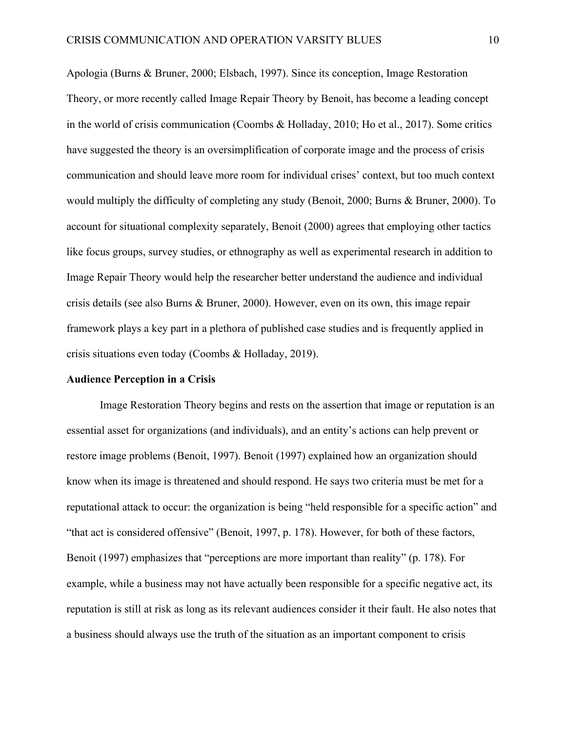Apologia (Burns & Bruner, 2000; Elsbach, 1997). Since its conception, Image Restoration Theory, or more recently called Image Repair Theory by Benoit, has become a leading concept in the world of crisis communication (Coombs & Holladay, 2010; Ho et al., 2017). Some critics have suggested the theory is an oversimplification of corporate image and the process of crisis communication and should leave more room for individual crises' context, but too much context would multiply the difficulty of completing any study (Benoit, 2000; Burns & Bruner, 2000). To account for situational complexity separately, Benoit (2000) agrees that employing other tactics like focus groups, survey studies, or ethnography as well as experimental research in addition to Image Repair Theory would help the researcher better understand the audience and individual crisis details (see also Burns & Bruner, 2000). However, even on its own, this image repair framework plays a key part in a plethora of published case studies and is frequently applied in crisis situations even today (Coombs & Holladay, 2019).

## **Audience Perception in a Crisis**

Image Restoration Theory begins and rests on the assertion that image or reputation is an essential asset for organizations (and individuals), and an entity's actions can help prevent or restore image problems (Benoit, 1997). Benoit (1997) explained how an organization should know when its image is threatened and should respond. He says two criteria must be met for a reputational attack to occur: the organization is being "held responsible for a specific action" and "that act is considered offensive" (Benoit, 1997, p. 178). However, for both of these factors, Benoit (1997) emphasizes that "perceptions are more important than reality" (p. 178). For example, while a business may not have actually been responsible for a specific negative act, its reputation is still at risk as long as its relevant audiences consider it their fault. He also notes that a business should always use the truth of the situation as an important component to crisis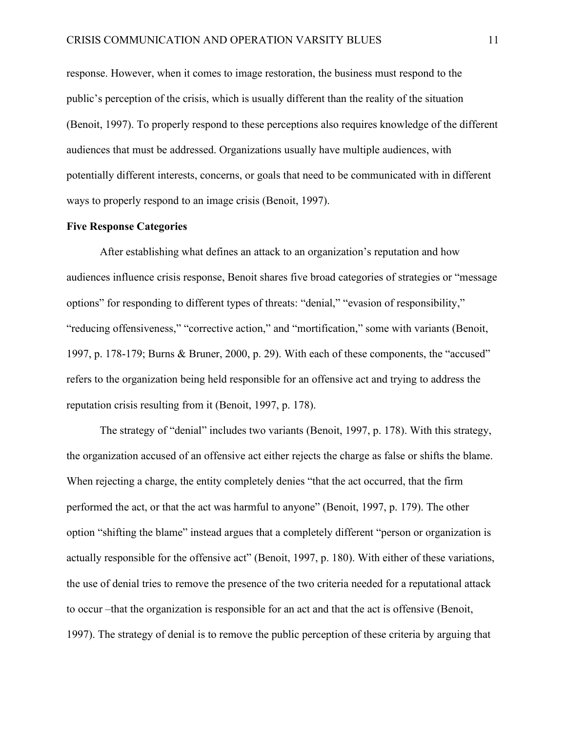response. However, when it comes to image restoration, the business must respond to the public's perception of the crisis, which is usually different than the reality of the situation (Benoit, 1997). To properly respond to these perceptions also requires knowledge of the different audiences that must be addressed. Organizations usually have multiple audiences, with potentially different interests, concerns, or goals that need to be communicated with in different ways to properly respond to an image crisis (Benoit, 1997).

### **Five Response Categories**

After establishing what defines an attack to an organization's reputation and how audiences influence crisis response, Benoit shares five broad categories of strategies or "message options" for responding to different types of threats: "denial," "evasion of responsibility," "reducing offensiveness," "corrective action," and "mortification," some with variants (Benoit, 1997, p. 178-179; Burns & Bruner, 2000, p. 29). With each of these components, the "accused" refers to the organization being held responsible for an offensive act and trying to address the reputation crisis resulting from it (Benoit, 1997, p. 178).

The strategy of "denial" includes two variants (Benoit, 1997, p. 178). With this strategy, the organization accused of an offensive act either rejects the charge as false or shifts the blame. When rejecting a charge, the entity completely denies "that the act occurred, that the firm performed the act, or that the act was harmful to anyone" (Benoit, 1997, p. 179). The other option "shifting the blame" instead argues that a completely different "person or organization is actually responsible for the offensive act" (Benoit, 1997, p. 180). With either of these variations, the use of denial tries to remove the presence of the two criteria needed for a reputational attack to occur –that the organization is responsible for an act and that the act is offensive (Benoit, 1997). The strategy of denial is to remove the public perception of these criteria by arguing that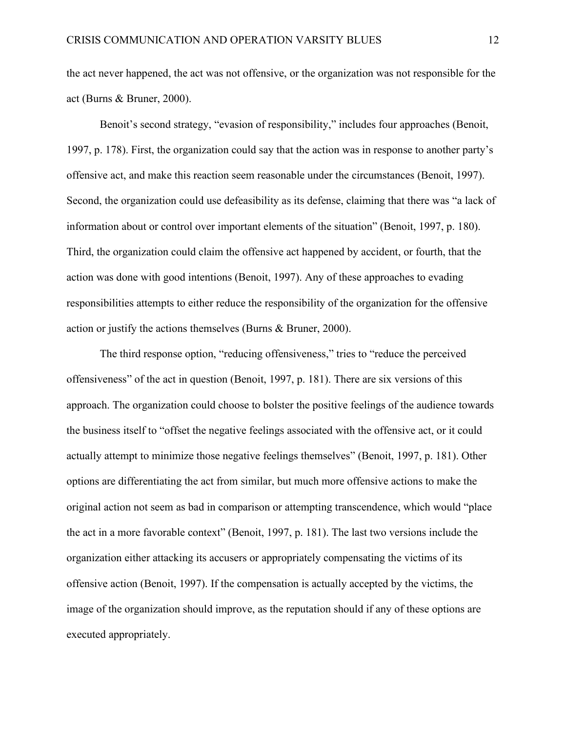the act never happened, the act was not offensive, or the organization was not responsible for the act (Burns & Bruner, 2000).

Benoit's second strategy, "evasion of responsibility," includes four approaches (Benoit, 1997, p. 178). First, the organization could say that the action was in response to another party's offensive act, and make this reaction seem reasonable under the circumstances (Benoit, 1997). Second, the organization could use defeasibility as its defense, claiming that there was "a lack of information about or control over important elements of the situation" (Benoit, 1997, p. 180). Third, the organization could claim the offensive act happened by accident, or fourth, that the action was done with good intentions (Benoit, 1997). Any of these approaches to evading responsibilities attempts to either reduce the responsibility of the organization for the offensive action or justify the actions themselves (Burns & Bruner, 2000).

The third response option, "reducing offensiveness," tries to "reduce the perceived offensiveness" of the act in question (Benoit, 1997, p. 181). There are six versions of this approach. The organization could choose to bolster the positive feelings of the audience towards the business itself to "offset the negative feelings associated with the offensive act, or it could actually attempt to minimize those negative feelings themselves" (Benoit, 1997, p. 181). Other options are differentiating the act from similar, but much more offensive actions to make the original action not seem as bad in comparison or attempting transcendence, which would "place the act in a more favorable context" (Benoit, 1997, p. 181). The last two versions include the organization either attacking its accusers or appropriately compensating the victims of its offensive action (Benoit, 1997). If the compensation is actually accepted by the victims, the image of the organization should improve, as the reputation should if any of these options are executed appropriately.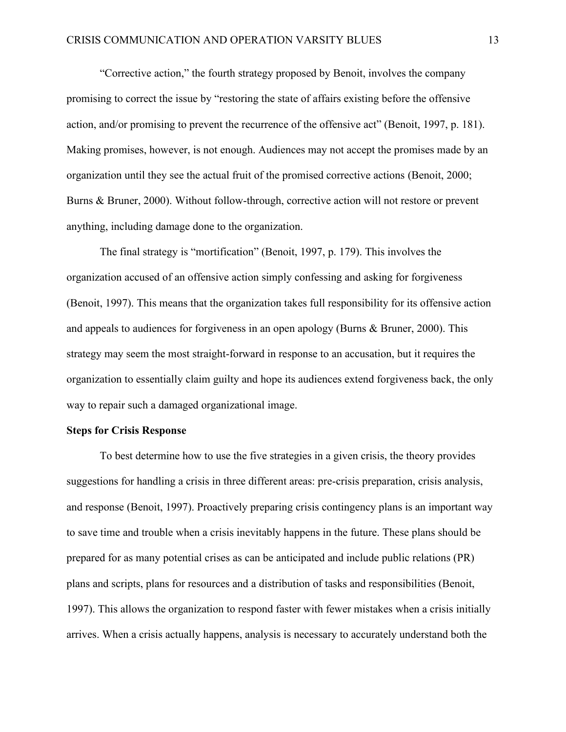"Corrective action," the fourth strategy proposed by Benoit, involves the company promising to correct the issue by "restoring the state of affairs existing before the offensive action, and/or promising to prevent the recurrence of the offensive act" (Benoit, 1997, p. 181). Making promises, however, is not enough. Audiences may not accept the promises made by an organization until they see the actual fruit of the promised corrective actions (Benoit, 2000; Burns & Bruner, 2000). Without follow-through, corrective action will not restore or prevent anything, including damage done to the organization.

The final strategy is "mortification" (Benoit, 1997, p. 179). This involves the organization accused of an offensive action simply confessing and asking for forgiveness (Benoit, 1997). This means that the organization takes full responsibility for its offensive action and appeals to audiences for forgiveness in an open apology (Burns & Bruner, 2000). This strategy may seem the most straight-forward in response to an accusation, but it requires the organization to essentially claim guilty and hope its audiences extend forgiveness back, the only way to repair such a damaged organizational image.

#### **Steps for Crisis Response**

To best determine how to use the five strategies in a given crisis, the theory provides suggestions for handling a crisis in three different areas: pre-crisis preparation, crisis analysis, and response (Benoit, 1997). Proactively preparing crisis contingency plans is an important way to save time and trouble when a crisis inevitably happens in the future. These plans should be prepared for as many potential crises as can be anticipated and include public relations (PR) plans and scripts, plans for resources and a distribution of tasks and responsibilities (Benoit, 1997). This allows the organization to respond faster with fewer mistakes when a crisis initially arrives. When a crisis actually happens, analysis is necessary to accurately understand both the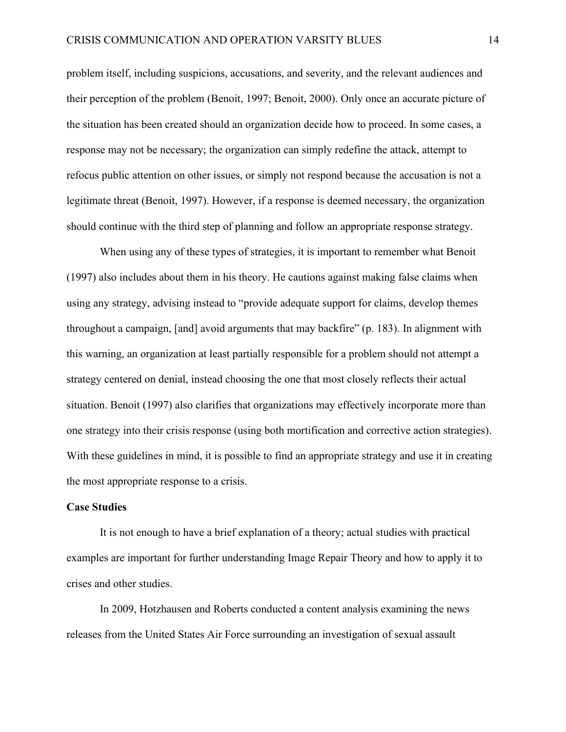problem itself, including suspicions, accusations, and severity, and the relevant audiences and their perception of the problem (Benoit, 1997; Benoit, 2000). Only once an accurate picture of the situation has been created should an organization decide how to proceed. In some cases, a response may not be necessary; the organization can simply redefine the attack, attempt to refocus public attention on other issues, or simply not respond because the accusation is not a legitimate threat (Benoit, 1997). However, if a response is deemed necessary, the organization should continue with the third step of planning and follow an appropriate response strategy.

When using any of these types of strategies, it is important to remember what Benoit (1997) also includes about them in his theory. He cautions against making false claims when using any strategy, advising instead to "provide adequate support for claims, develop themes throughout a campaign, [and] avoid arguments that may backfire" (p. 183). In alignment with this warning, an organization at least partially responsible for a problem should not attempt a strategy centered on denial, instead choosing the one that most closely reflects their actual situation. Benoit (1997) also clarifies that organizations may effectively incorporate more than one strategy into their crisis response (using both mortification and corrective action strategies). With these guidelines in mind, it is possible to find an appropriate strategy and use it in creating the most appropriate response to a crisis.

## **Case Studies**

It is not enough to have a brief explanation of a theory; actual studies with practical examples are important for further understanding Image Repair Theory and how to apply it to crises and other studies.

In 2009, Hotzhausen and Roberts conducted a content analysis examining the news releases from the United States Air Force surrounding an investigation of sexual assault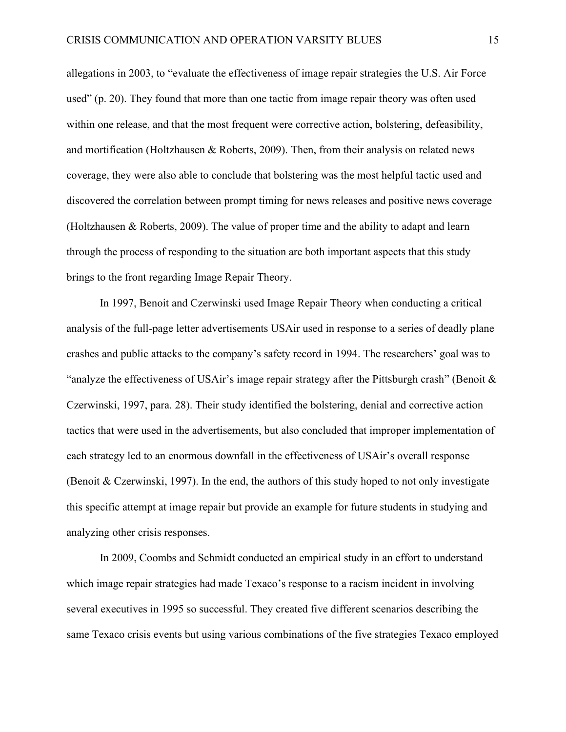allegations in 2003, to "evaluate the effectiveness of image repair strategies the U.S. Air Force used" (p. 20). They found that more than one tactic from image repair theory was often used within one release, and that the most frequent were corrective action, bolstering, defeasibility, and mortification (Holtzhausen & Roberts, 2009). Then, from their analysis on related news coverage, they were also able to conclude that bolstering was the most helpful tactic used and discovered the correlation between prompt timing for news releases and positive news coverage (Holtzhausen & Roberts, 2009). The value of proper time and the ability to adapt and learn through the process of responding to the situation are both important aspects that this study brings to the front regarding Image Repair Theory.

In 1997, Benoit and Czerwinski used Image Repair Theory when conducting a critical analysis of the full-page letter advertisements USAir used in response to a series of deadly plane crashes and public attacks to the company's safety record in 1994. The researchers' goal was to "analyze the effectiveness of USAir's image repair strategy after the Pittsburgh crash" (Benoit  $\&$ Czerwinski, 1997, para. 28). Their study identified the bolstering, denial and corrective action tactics that were used in the advertisements, but also concluded that improper implementation of each strategy led to an enormous downfall in the effectiveness of USAir's overall response (Benoit & Czerwinski, 1997). In the end, the authors of this study hoped to not only investigate this specific attempt at image repair but provide an example for future students in studying and analyzing other crisis responses.

In 2009, Coombs and Schmidt conducted an empirical study in an effort to understand which image repair strategies had made Texaco's response to a racism incident in involving several executives in 1995 so successful. They created five different scenarios describing the same Texaco crisis events but using various combinations of the five strategies Texaco employed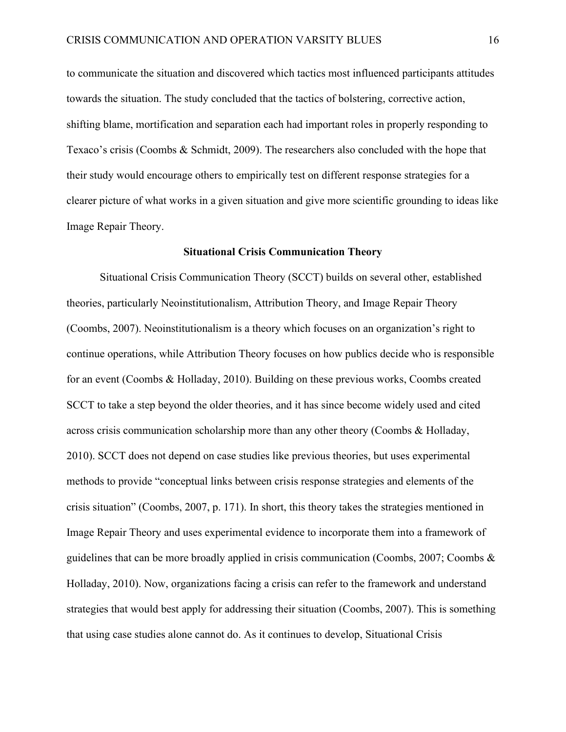to communicate the situation and discovered which tactics most influenced participants attitudes towards the situation. The study concluded that the tactics of bolstering, corrective action, shifting blame, mortification and separation each had important roles in properly responding to Texaco's crisis (Coombs & Schmidt, 2009). The researchers also concluded with the hope that their study would encourage others to empirically test on different response strategies for a clearer picture of what works in a given situation and give more scientific grounding to ideas like Image Repair Theory.

#### **Situational Crisis Communication Theory**

Situational Crisis Communication Theory (SCCT) builds on several other, established theories, particularly Neoinstitutionalism, Attribution Theory, and Image Repair Theory (Coombs, 2007). Neoinstitutionalism is a theory which focuses on an organization's right to continue operations, while Attribution Theory focuses on how publics decide who is responsible for an event (Coombs & Holladay, 2010). Building on these previous works, Coombs created SCCT to take a step beyond the older theories, and it has since become widely used and cited across crisis communication scholarship more than any other theory (Coombs & Holladay, 2010). SCCT does not depend on case studies like previous theories, but uses experimental methods to provide "conceptual links between crisis response strategies and elements of the crisis situation" (Coombs, 2007, p. 171). In short, this theory takes the strategies mentioned in Image Repair Theory and uses experimental evidence to incorporate them into a framework of guidelines that can be more broadly applied in crisis communication (Coombs, 2007; Coombs & Holladay, 2010). Now, organizations facing a crisis can refer to the framework and understand strategies that would best apply for addressing their situation (Coombs, 2007). This is something that using case studies alone cannot do. As it continues to develop, Situational Crisis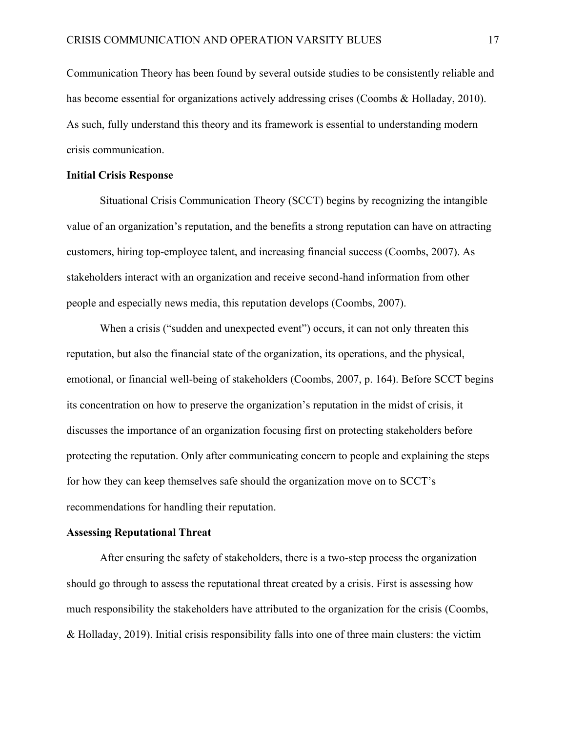Communication Theory has been found by several outside studies to be consistently reliable and has become essential for organizations actively addressing crises (Coombs & Holladay, 2010). As such, fully understand this theory and its framework is essential to understanding modern crisis communication.

# **Initial Crisis Response**

Situational Crisis Communication Theory (SCCT) begins by recognizing the intangible value of an organization's reputation, and the benefits a strong reputation can have on attracting customers, hiring top-employee talent, and increasing financial success (Coombs, 2007). As stakeholders interact with an organization and receive second-hand information from other people and especially news media, this reputation develops (Coombs, 2007).

When a crisis ("sudden and unexpected event") occurs, it can not only threaten this reputation, but also the financial state of the organization, its operations, and the physical, emotional, or financial well-being of stakeholders (Coombs, 2007, p. 164). Before SCCT begins its concentration on how to preserve the organization's reputation in the midst of crisis, it discusses the importance of an organization focusing first on protecting stakeholders before protecting the reputation. Only after communicating concern to people and explaining the steps for how they can keep themselves safe should the organization move on to SCCT's recommendations for handling their reputation.

#### **Assessing Reputational Threat**

After ensuring the safety of stakeholders, there is a two-step process the organization should go through to assess the reputational threat created by a crisis. First is assessing how much responsibility the stakeholders have attributed to the organization for the crisis (Coombs, & Holladay, 2019). Initial crisis responsibility falls into one of three main clusters: the victim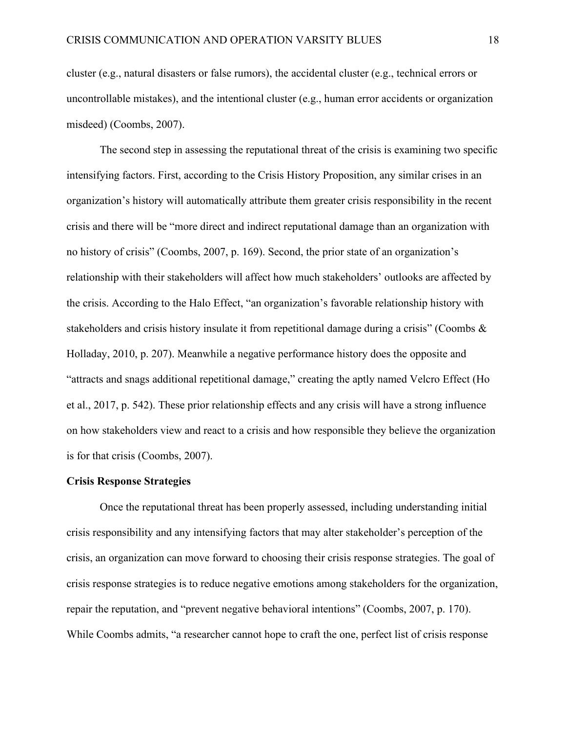cluster (e.g., natural disasters or false rumors), the accidental cluster (e.g., technical errors or uncontrollable mistakes), and the intentional cluster (e.g., human error accidents or organization misdeed) (Coombs, 2007).

The second step in assessing the reputational threat of the crisis is examining two specific intensifying factors. First, according to the Crisis History Proposition, any similar crises in an organization's history will automatically attribute them greater crisis responsibility in the recent crisis and there will be "more direct and indirect reputational damage than an organization with no history of crisis" (Coombs, 2007, p. 169). Second, the prior state of an organization's relationship with their stakeholders will affect how much stakeholders' outlooks are affected by the crisis. According to the Halo Effect, "an organization's favorable relationship history with stakeholders and crisis history insulate it from repetitional damage during a crisis" (Coombs & Holladay, 2010, p. 207). Meanwhile a negative performance history does the opposite and "attracts and snags additional repetitional damage," creating the aptly named Velcro Effect (Ho et al., 2017, p. 542). These prior relationship effects and any crisis will have a strong influence on how stakeholders view and react to a crisis and how responsible they believe the organization is for that crisis (Coombs, 2007).

## **Crisis Response Strategies**

Once the reputational threat has been properly assessed, including understanding initial crisis responsibility and any intensifying factors that may alter stakeholder's perception of the crisis, an organization can move forward to choosing their crisis response strategies. The goal of crisis response strategies is to reduce negative emotions among stakeholders for the organization, repair the reputation, and "prevent negative behavioral intentions" (Coombs, 2007, p. 170). While Coombs admits, "a researcher cannot hope to craft the one, perfect list of crisis response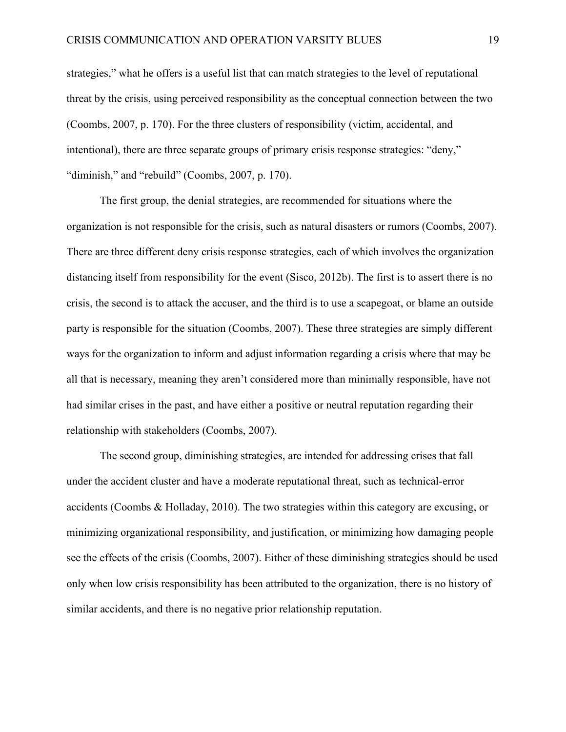strategies," what he offers is a useful list that can match strategies to the level of reputational threat by the crisis, using perceived responsibility as the conceptual connection between the two (Coombs, 2007, p. 170). For the three clusters of responsibility (victim, accidental, and intentional), there are three separate groups of primary crisis response strategies: "deny," "diminish," and "rebuild" (Coombs, 2007, p. 170).

The first group, the denial strategies, are recommended for situations where the organization is not responsible for the crisis, such as natural disasters or rumors (Coombs, 2007). There are three different deny crisis response strategies, each of which involves the organization distancing itself from responsibility for the event (Sisco, 2012b). The first is to assert there is no crisis, the second is to attack the accuser, and the third is to use a scapegoat, or blame an outside party is responsible for the situation (Coombs, 2007). These three strategies are simply different ways for the organization to inform and adjust information regarding a crisis where that may be all that is necessary, meaning they aren't considered more than minimally responsible, have not had similar crises in the past, and have either a positive or neutral reputation regarding their relationship with stakeholders (Coombs, 2007).

The second group, diminishing strategies, are intended for addressing crises that fall under the accident cluster and have a moderate reputational threat, such as technical-error accidents (Coombs & Holladay, 2010). The two strategies within this category are excusing, or minimizing organizational responsibility, and justification, or minimizing how damaging people see the effects of the crisis (Coombs, 2007). Either of these diminishing strategies should be used only when low crisis responsibility has been attributed to the organization, there is no history of similar accidents, and there is no negative prior relationship reputation.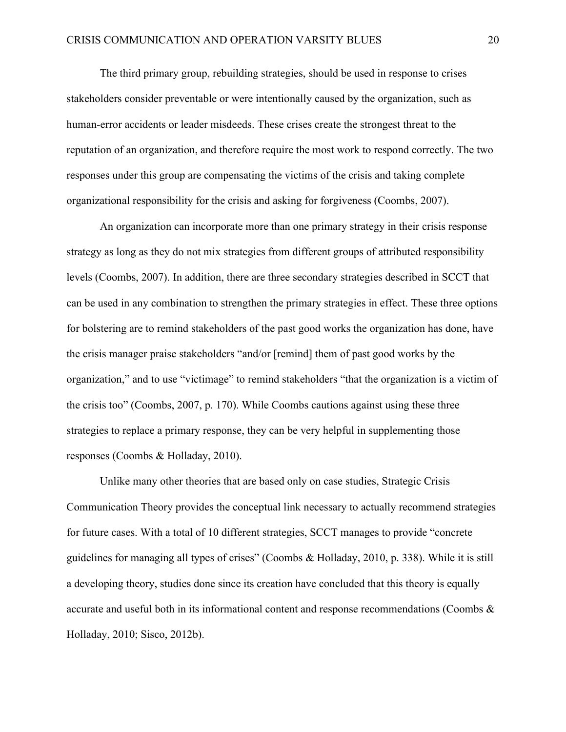The third primary group, rebuilding strategies, should be used in response to crises stakeholders consider preventable or were intentionally caused by the organization, such as human-error accidents or leader misdeeds. These crises create the strongest threat to the reputation of an organization, and therefore require the most work to respond correctly. The two responses under this group are compensating the victims of the crisis and taking complete organizational responsibility for the crisis and asking for forgiveness (Coombs, 2007).

An organization can incorporate more than one primary strategy in their crisis response strategy as long as they do not mix strategies from different groups of attributed responsibility levels (Coombs, 2007). In addition, there are three secondary strategies described in SCCT that can be used in any combination to strengthen the primary strategies in effect. These three options for bolstering are to remind stakeholders of the past good works the organization has done, have the crisis manager praise stakeholders "and/or [remind] them of past good works by the organization," and to use "victimage" to remind stakeholders "that the organization is a victim of the crisis too" (Coombs, 2007, p. 170). While Coombs cautions against using these three strategies to replace a primary response, they can be very helpful in supplementing those responses (Coombs & Holladay, 2010).

Unlike many other theories that are based only on case studies, Strategic Crisis Communication Theory provides the conceptual link necessary to actually recommend strategies for future cases. With a total of 10 different strategies, SCCT manages to provide "concrete guidelines for managing all types of crises" (Coombs & Holladay, 2010, p. 338). While it is still a developing theory, studies done since its creation have concluded that this theory is equally accurate and useful both in its informational content and response recommendations (Coombs & Holladay, 2010; Sisco, 2012b).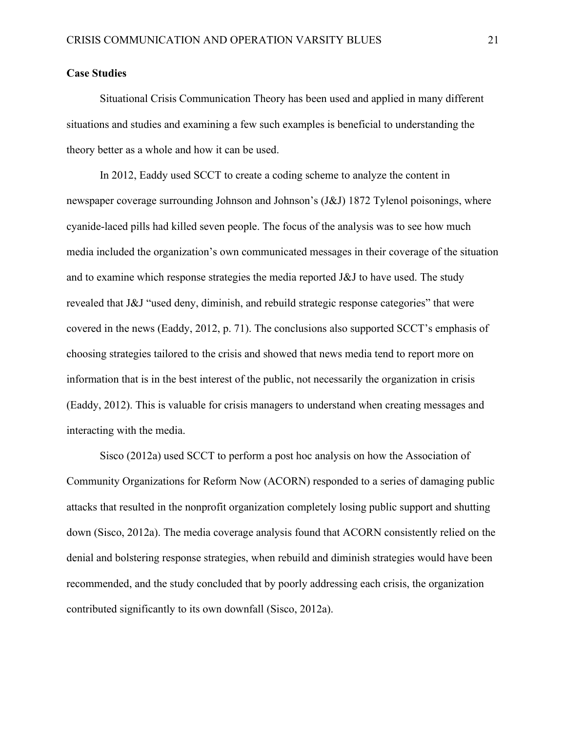# **Case Studies**

Situational Crisis Communication Theory has been used and applied in many different situations and studies and examining a few such examples is beneficial to understanding the theory better as a whole and how it can be used.

In 2012, Eaddy used SCCT to create a coding scheme to analyze the content in newspaper coverage surrounding Johnson and Johnson's (J&J) 1872 Tylenol poisonings, where cyanide-laced pills had killed seven people. The focus of the analysis was to see how much media included the organization's own communicated messages in their coverage of the situation and to examine which response strategies the media reported J&J to have used. The study revealed that J&J "used deny, diminish, and rebuild strategic response categories" that were covered in the news (Eaddy, 2012, p. 71). The conclusions also supported SCCT's emphasis of choosing strategies tailored to the crisis and showed that news media tend to report more on information that is in the best interest of the public, not necessarily the organization in crisis (Eaddy, 2012). This is valuable for crisis managers to understand when creating messages and interacting with the media.

Sisco (2012a) used SCCT to perform a post hoc analysis on how the Association of Community Organizations for Reform Now (ACORN) responded to a series of damaging public attacks that resulted in the nonprofit organization completely losing public support and shutting down (Sisco, 2012a). The media coverage analysis found that ACORN consistently relied on the denial and bolstering response strategies, when rebuild and diminish strategies would have been recommended, and the study concluded that by poorly addressing each crisis, the organization contributed significantly to its own downfall (Sisco, 2012a).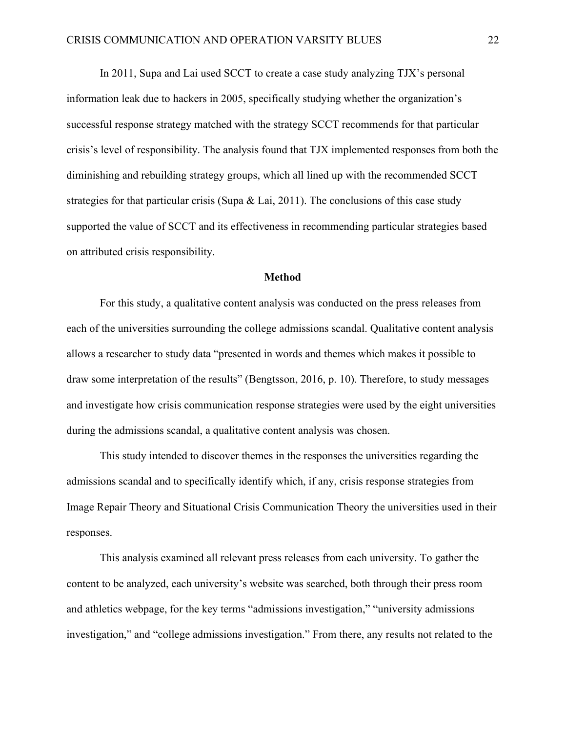In 2011, Supa and Lai used SCCT to create a case study analyzing TJX's personal information leak due to hackers in 2005, specifically studying whether the organization's successful response strategy matched with the strategy SCCT recommends for that particular crisis's level of responsibility. The analysis found that TJX implemented responses from both the diminishing and rebuilding strategy groups, which all lined up with the recommended SCCT strategies for that particular crisis (Supa & Lai, 2011). The conclusions of this case study supported the value of SCCT and its effectiveness in recommending particular strategies based on attributed crisis responsibility.

## **Method**

For this study, a qualitative content analysis was conducted on the press releases from each of the universities surrounding the college admissions scandal. Qualitative content analysis allows a researcher to study data "presented in words and themes which makes it possible to draw some interpretation of the results" (Bengtsson, 2016, p. 10). Therefore, to study messages and investigate how crisis communication response strategies were used by the eight universities during the admissions scandal, a qualitative content analysis was chosen.

This study intended to discover themes in the responses the universities regarding the admissions scandal and to specifically identify which, if any, crisis response strategies from Image Repair Theory and Situational Crisis Communication Theory the universities used in their responses.

This analysis examined all relevant press releases from each university. To gather the content to be analyzed, each university's website was searched, both through their press room and athletics webpage, for the key terms "admissions investigation," "university admissions investigation," and "college admissions investigation." From there, any results not related to the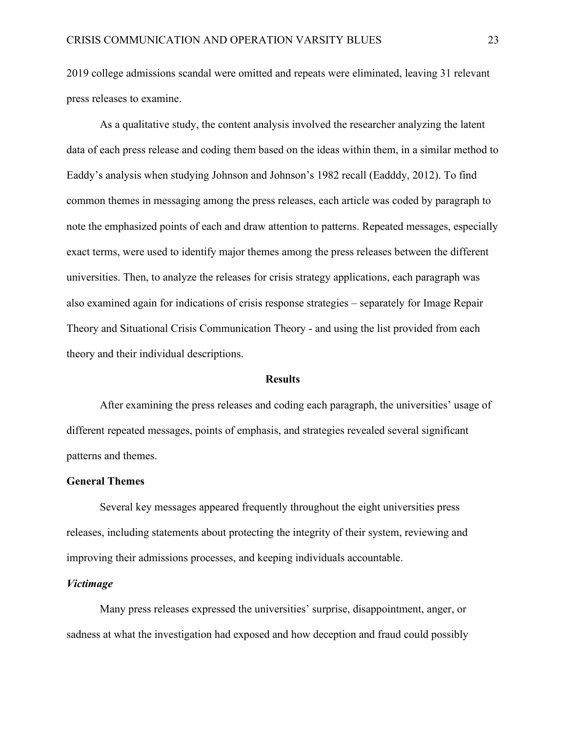2019 college admissions scandal were omitted and repeats were eliminated, leaving 31 relevant press releases to examine.

As a qualitative study, the content analysis involved the researcher analyzing the latent data of each press release and coding them based on the ideas within them, in a similar method to Eaddy's analysis when studying Johnson and Johnson's 1982 recall (Eadddy, 2012). To find common themes in messaging among the press releases, each article was coded by paragraph to note the emphasized points of each and draw attention to patterns. Repeated messages, especially exact terms, were used to identify major themes among the press releases between the different universities. Then, to analyze the releases for crisis strategy applications, each paragraph was also examined again for indications of crisis response strategies – separately for Image Repair Theory and Situational Crisis Communication Theory - and using the list provided from each theory and their individual descriptions.

#### **Results**

After examining the press releases and coding each paragraph, the universities' usage of different repeated messages, points of emphasis, and strategies revealed several significant patterns and themes.

# **General Themes**

Several key messages appeared frequently throughout the eight universities press releases, including statements about protecting the integrity of their system, reviewing and improving their admissions processes, and keeping individuals accountable.

# *Victimage*

Many press releases expressed the universities' surprise, disappointment, anger, or sadness at what the investigation had exposed and how deception and fraud could possibly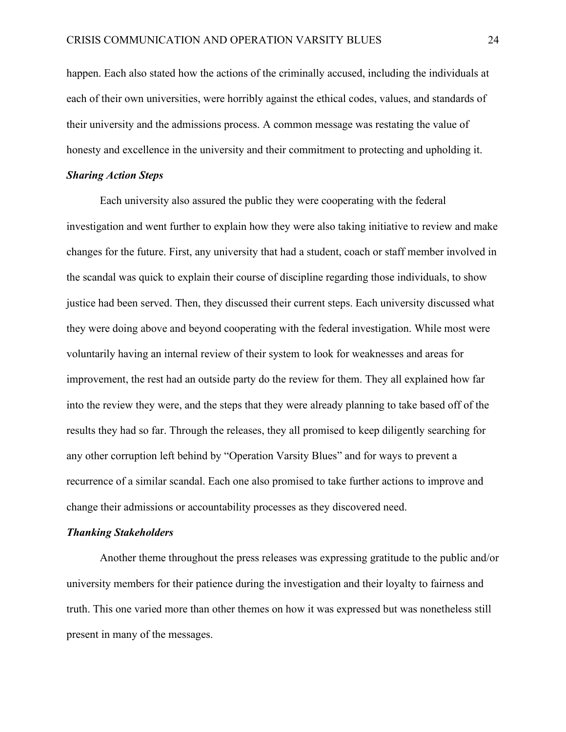happen. Each also stated how the actions of the criminally accused, including the individuals at each of their own universities, were horribly against the ethical codes, values, and standards of their university and the admissions process. A common message was restating the value of honesty and excellence in the university and their commitment to protecting and upholding it.

#### *Sharing Action Steps*

Each university also assured the public they were cooperating with the federal investigation and went further to explain how they were also taking initiative to review and make changes for the future. First, any university that had a student, coach or staff member involved in the scandal was quick to explain their course of discipline regarding those individuals, to show justice had been served. Then, they discussed their current steps. Each university discussed what they were doing above and beyond cooperating with the federal investigation. While most were voluntarily having an internal review of their system to look for weaknesses and areas for improvement, the rest had an outside party do the review for them. They all explained how far into the review they were, and the steps that they were already planning to take based off of the results they had so far. Through the releases, they all promised to keep diligently searching for any other corruption left behind by "Operation Varsity Blues" and for ways to prevent a recurrence of a similar scandal. Each one also promised to take further actions to improve and change their admissions or accountability processes as they discovered need.

#### *Thanking Stakeholders*

Another theme throughout the press releases was expressing gratitude to the public and/or university members for their patience during the investigation and their loyalty to fairness and truth. This one varied more than other themes on how it was expressed but was nonetheless still present in many of the messages.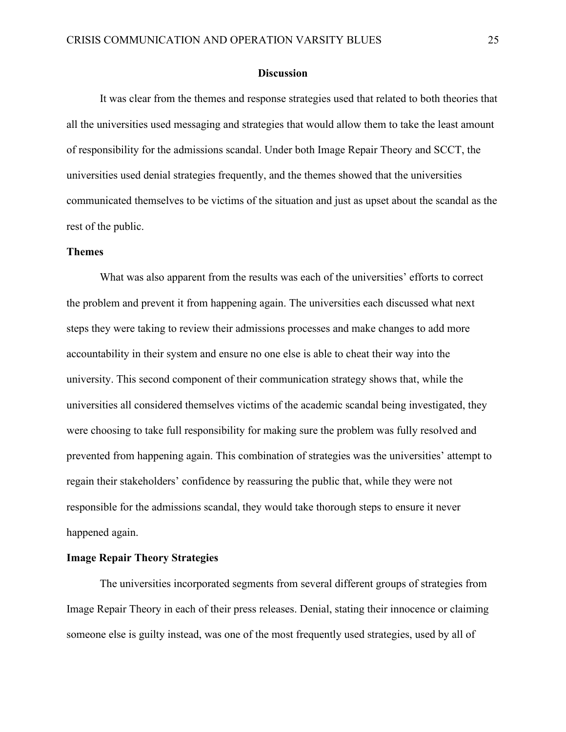## **Discussion**

It was clear from the themes and response strategies used that related to both theories that all the universities used messaging and strategies that would allow them to take the least amount of responsibility for the admissions scandal. Under both Image Repair Theory and SCCT, the universities used denial strategies frequently, and the themes showed that the universities communicated themselves to be victims of the situation and just as upset about the scandal as the rest of the public.

## **Themes**

What was also apparent from the results was each of the universities' efforts to correct the problem and prevent it from happening again. The universities each discussed what next steps they were taking to review their admissions processes and make changes to add more accountability in their system and ensure no one else is able to cheat their way into the university. This second component of their communication strategy shows that, while the universities all considered themselves victims of the academic scandal being investigated, they were choosing to take full responsibility for making sure the problem was fully resolved and prevented from happening again. This combination of strategies was the universities' attempt to regain their stakeholders' confidence by reassuring the public that, while they were not responsible for the admissions scandal, they would take thorough steps to ensure it never happened again.

# **Image Repair Theory Strategies**

The universities incorporated segments from several different groups of strategies from Image Repair Theory in each of their press releases. Denial, stating their innocence or claiming someone else is guilty instead, was one of the most frequently used strategies, used by all of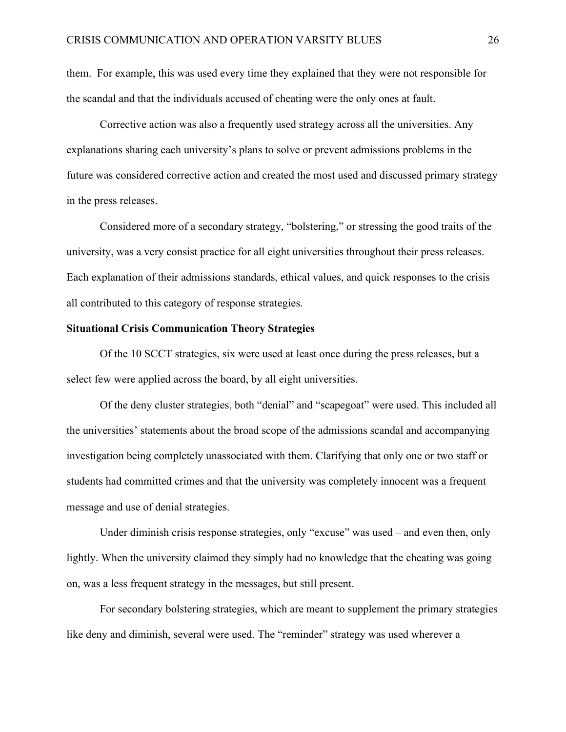them. For example, this was used every time they explained that they were not responsible for the scandal and that the individuals accused of cheating were the only ones at fault.

Corrective action was also a frequently used strategy across all the universities. Any explanations sharing each university's plans to solve or prevent admissions problems in the future was considered corrective action and created the most used and discussed primary strategy in the press releases.

Considered more of a secondary strategy, "bolstering," or stressing the good traits of the university, was a very consist practice for all eight universities throughout their press releases. Each explanation of their admissions standards, ethical values, and quick responses to the crisis all contributed to this category of response strategies.

## **Situational Crisis Communication Theory Strategies**

Of the 10 SCCT strategies, six were used at least once during the press releases, but a select few were applied across the board, by all eight universities.

Of the deny cluster strategies, both "denial" and "scapegoat" were used. This included all the universities' statements about the broad scope of the admissions scandal and accompanying investigation being completely unassociated with them. Clarifying that only one or two staff or students had committed crimes and that the university was completely innocent was a frequent message and use of denial strategies.

Under diminish crisis response strategies, only "excuse" was used – and even then, only lightly. When the university claimed they simply had no knowledge that the cheating was going on, was a less frequent strategy in the messages, but still present.

For secondary bolstering strategies, which are meant to supplement the primary strategies like deny and diminish, several were used. The "reminder" strategy was used wherever a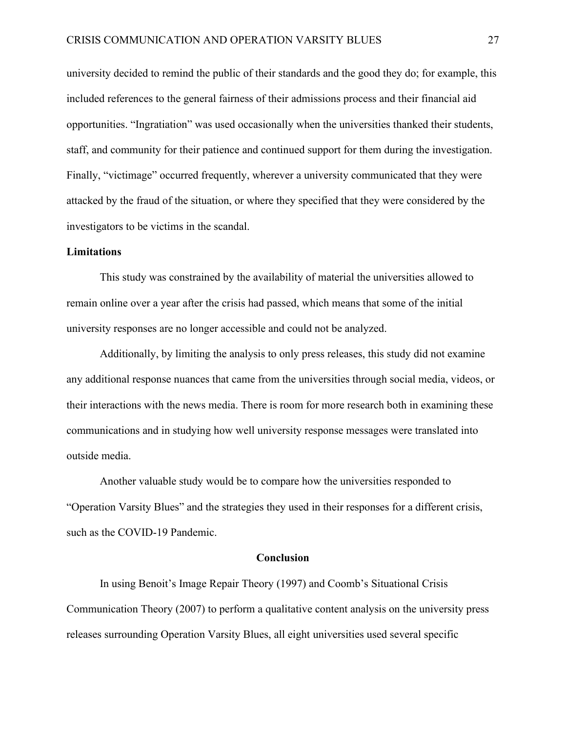university decided to remind the public of their standards and the good they do; for example, this included references to the general fairness of their admissions process and their financial aid opportunities. "Ingratiation" was used occasionally when the universities thanked their students, staff, and community for their patience and continued support for them during the investigation. Finally, "victimage" occurred frequently, wherever a university communicated that they were attacked by the fraud of the situation, or where they specified that they were considered by the investigators to be victims in the scandal.

## **Limitations**

This study was constrained by the availability of material the universities allowed to remain online over a year after the crisis had passed, which means that some of the initial university responses are no longer accessible and could not be analyzed.

Additionally, by limiting the analysis to only press releases, this study did not examine any additional response nuances that came from the universities through social media, videos, or their interactions with the news media. There is room for more research both in examining these communications and in studying how well university response messages were translated into outside media.

Another valuable study would be to compare how the universities responded to "Operation Varsity Blues" and the strategies they used in their responses for a different crisis, such as the COVID-19 Pandemic.

# **Conclusion**

In using Benoit's Image Repair Theory (1997) and Coomb's Situational Crisis Communication Theory (2007) to perform a qualitative content analysis on the university press releases surrounding Operation Varsity Blues, all eight universities used several specific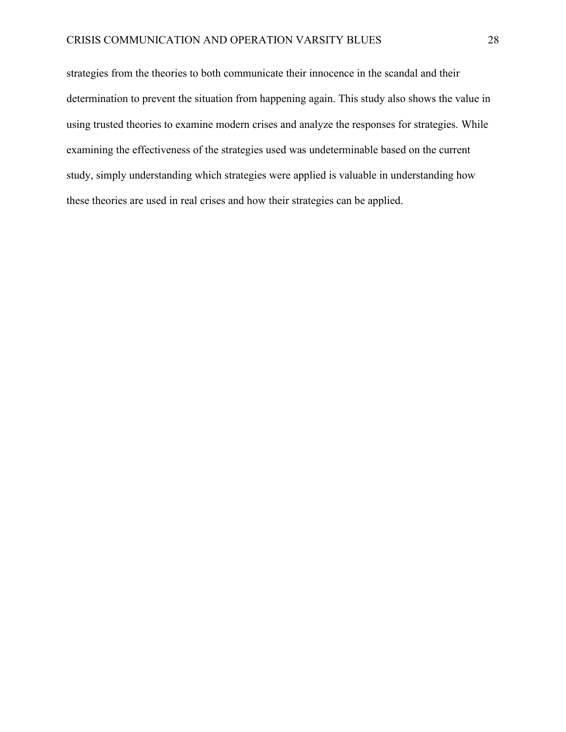strategies from the theories to both communicate their innocence in the scandal and their determination to prevent the situation from happening again. This study also shows the value in using trusted theories to examine modern crises and analyze the responses for strategies. While examining the effectiveness of the strategies used was undeterminable based on the current study, simply understanding which strategies were applied is valuable in understanding how these theories are used in real crises and how their strategies can be applied.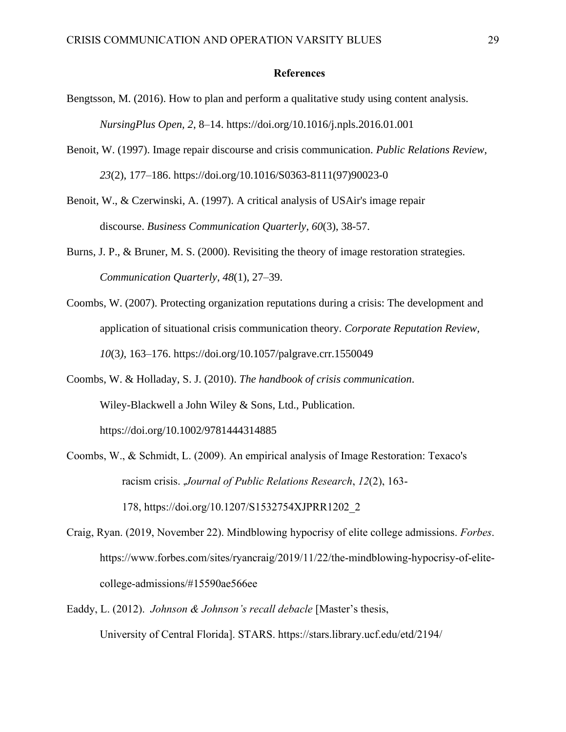## **References**

- Bengtsson, M. (2016). How to plan and perform a qualitative study using content analysis. *NursingPlus Open, 2*, 8–14. https://doi.org/10.1016/j.npls.2016.01.001
- Benoit, W. (1997). Image repair discourse and crisis communication. *Public Relations Review*, *23*(2), 177–186. https://doi.org/10.1016/S0363-8111(97)90023-0
- Benoit, W., & Czerwinski, A. (1997). A critical analysis of USAir's image repair discourse. *Business Communication Quarterly*, *60*(3), 38-57.
- Burns, J. P., & Bruner, M. S. (2000). Revisiting the theory of image restoration strategies. *Communication Quarterly*, *48*(1), 27–39.
- Coombs, W. (2007). Protecting organization reputations during a crisis: The development and application of situational crisis communication theory. *Corporate Reputation Review, 10*(3*)*, 163–176. https://doi.org/10.1057/palgrave.crr.1550049
- Coombs, W. & Holladay, S. J. (2010). *The handbook of crisis communication*. Wiley-Blackwell a John Wiley & Sons, Ltd., Publication. https://doi.org/10.1002/9781444314885
- Coombs, W., & Schmidt, L. (2009). An empirical analysis of Image Restoration: Texaco's racism crisis. ,*Journal of Public Relations Research*, *12*(2), 163- 178, https://doi.org/10.1207/S1532754XJPRR1202\_2
- Craig, Ryan. (2019, November 22). Mindblowing hypocrisy of elite college admissions. *Forbes*. https://www.forbes.com/sites/ryancraig/2019/11/22/the-mindblowing-hypocrisy-of-elitecollege-admissions/#15590ae566ee
- Eaddy, L. (2012). *Johnson & Johnson's recall debacle* [Master's thesis, University of Central Florida]. STARS. https://stars.library.ucf.edu/etd/2194/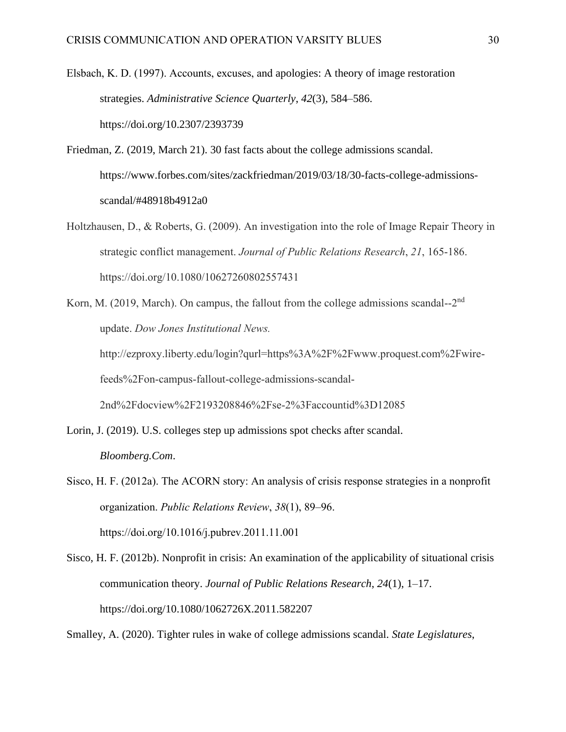- Elsbach, K. D. (1997). Accounts, excuses, and apologies: A theory of image restoration strategies. *Administrative Science Quarterly*, *42*(3), 584–586. https://doi.org/10.2307/2393739
- Friedman, Z. (2019, March 21). 30 fast facts about the college admissions scandal. https://www.forbes.com/sites/zackfriedman/2019/03/18/30-facts-college-admissionsscandal/#48918b4912a0
- Holtzhausen, D., & Roberts, G. (2009). An investigation into the role of Image Repair Theory in strategic conflict management. *Journal of Public Relations Research*, *21*, 165-186. https://doi.org/10.1080/10627260802557431
- Korn, M. (2019, March). On campus, the fallout from the college admissions scandal--2<sup>nd</sup> update. *Dow Jones Institutional News.* http://ezproxy.liberty.edu/login?qurl=https%3A%2F%2Fwww.proquest.com%2Fwirefeeds%2Fon-campus-fallout-college-admissions-scandal-2nd%2Fdocview%2F2193208846%2Fse-2%3Faccountid%3D12085
- Lorin, J. (2019). U.S. colleges step up admissions spot checks after scandal. *Bloomberg.Com*.
- Sisco, H. F. (2012a). The ACORN story: An analysis of crisis response strategies in a nonprofit organization. *Public Relations Review*, *38*(1), 89–96. https://doi.org/10.1016/j.pubrev.2011.11.001
- Sisco, H. F. (2012b). Nonprofit in crisis: An examination of the applicability of situational crisis communication theory. *Journal of Public Relations Research*, *24*(1), 1–17. https://doi.org/10.1080/1062726X.2011.582207

Smalley, A. (2020). Tighter rules in wake of college admissions scandal. *State Legislatures*,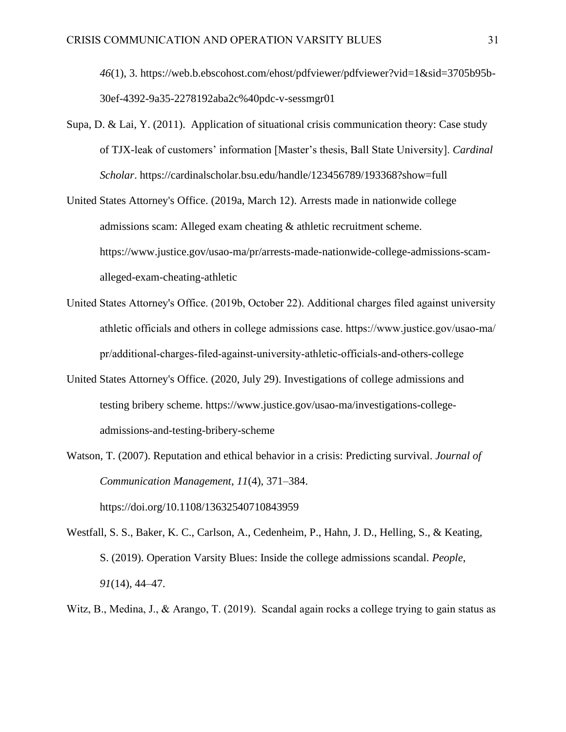*46*(1), 3. https://web.b.ebscohost.com/ehost/pdfviewer/pdfviewer?vid=1&sid=3705b95b-30ef-4392-9a35-2278192aba2c%40pdc-v-sessmgr01

Supa, D. & Lai, Y. (2011). Application of situational crisis communication theory: Case study of TJX-leak of customers' information [Master's thesis, Ball State University]. *Cardinal Scholar*. https://cardinalscholar.bsu.edu/handle/123456789/193368?show=full

United States Attorney's Office. (2019a, March 12). Arrests made in nationwide college admissions scam: Alleged exam cheating & athletic recruitment scheme. https://www.justice.gov/usao-ma/pr/arrests-made-nationwide-college-admissions-scamalleged-exam-cheating-athletic

- United States Attorney's Office. (2019b, October 22). Additional charges filed against university athletic officials and others in college admissions case. https://www.justice.gov/usao-ma/ pr/additional-charges-filed-against-university-athletic-officials-and-others-college
- United States Attorney's Office. (2020, July 29). Investigations of college admissions and testing bribery scheme. https://www.justice.gov/usao-ma/investigations-collegeadmissions-and-testing-bribery-scheme
- Watson, T. (2007). Reputation and ethical behavior in a crisis: Predicting survival. *Journal of Communication Management*, *11*(4), 371–384.

https://doi.org/10.1108/13632540710843959

- Westfall, S. S., Baker, K. C., Carlson, A., Cedenheim, P., Hahn, J. D., Helling, S., & Keating, S. (2019). Operation Varsity Blues: Inside the college admissions scandal. *People*, *91*(14), 44–47.
- Witz, B., Medina, J., & Arango, T. (2019). Scandal again rocks a college trying to gain status as